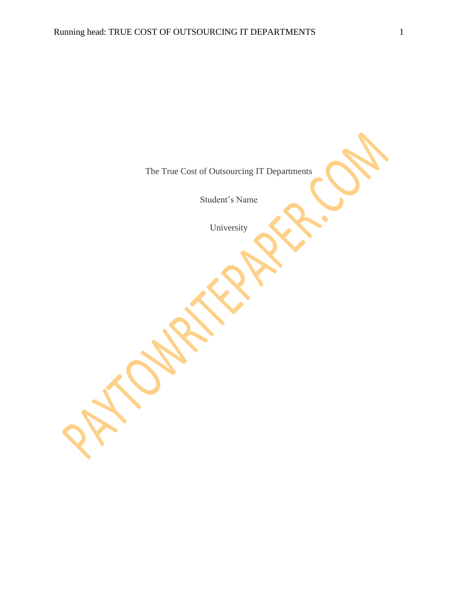The True Cost of Outsourcing IT Departments

Student's Name

University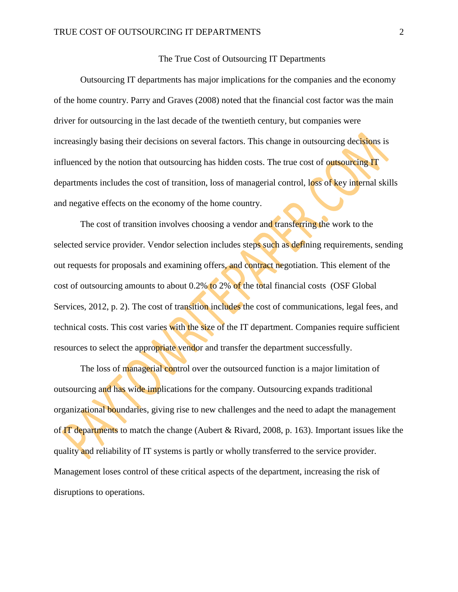## The True Cost of Outsourcing IT Departments

Outsourcing IT departments has major implications for the companies and the economy of the home country. Parry and Graves (2008) noted that the financial cost factor was the main driver for outsourcing in the last decade of the twentieth century, but companies were increasingly basing their decisions on several factors. This change in outsourcing decisions is influenced by the notion that outsourcing has hidden costs. The true cost of outsourcing IT departments includes the cost of transition, loss of managerial control, loss of key internal skills and negative effects on the economy of the home country.

The cost of transition involves choosing a vendor and transferring the work to the selected service provider. Vendor selection includes steps such as defining requirements, sending out requests for proposals and examining offers, and contract negotiation. This element of the cost of outsourcing amounts to about 0.2% to 2% of the total financial costs (OSF Global Services, 2012, p. 2). The cost of transition includes the cost of communications, legal fees, and technical costs. This cost varies with the size of the IT department. Companies require sufficient resources to select the appropriate vendor and transfer the department successfully.

The loss of managerial control over the outsourced function is a major limitation of outsourcing and has wide implications for the company. Outsourcing expands traditional organizational boundaries, giving rise to new challenges and the need to adapt the management of IT departments to match the change (Aubert & Rivard, 2008, p. 163). Important issues like the quality and reliability of IT systems is partly or wholly transferred to the service provider. Management loses control of these critical aspects of the department, increasing the risk of disruptions to operations.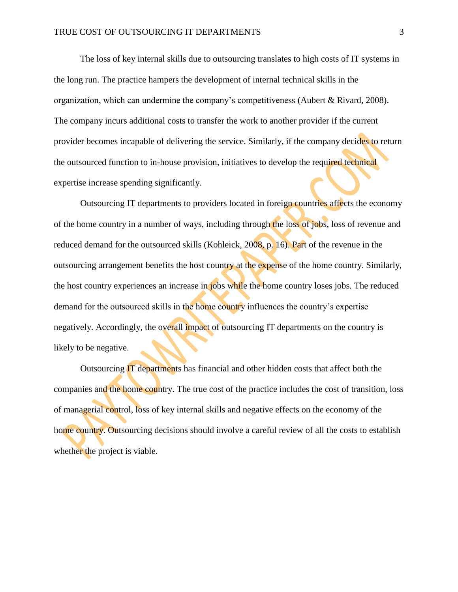The loss of key internal skills due to outsourcing translates to high costs of IT systems in the long run. The practice hampers the development of internal technical skills in the organization, which can undermine the company's competitiveness (Aubert & Rivard, 2008). The company incurs additional costs to transfer the work to another provider if the current provider becomes incapable of delivering the service. Similarly, if the company decides to return the outsourced function to in-house provision, initiatives to develop the required technical expertise increase spending significantly.

Outsourcing IT departments to providers located in foreign countries affects the economy of the home country in a number of ways, including through the loss of jobs, loss of revenue and reduced demand for the outsourced skills (Kohleick, 2008, p. 16). Part of the revenue in the outsourcing arrangement benefits the host country at the expense of the home country. Similarly, the host country experiences an increase in jobs while the home country loses jobs. The reduced demand for the outsourced skills in the home country influences the country's expertise negatively. Accordingly, the overall impact of outsourcing IT departments on the country is likely to be negative.

Outsourcing IT departments has financial and other hidden costs that affect both the companies and the home country. The true cost of the practice includes the cost of transition, loss of managerial control, loss of key internal skills and negative effects on the economy of the home country. Outsourcing decisions should involve a careful review of all the costs to establish whether the project is viable.